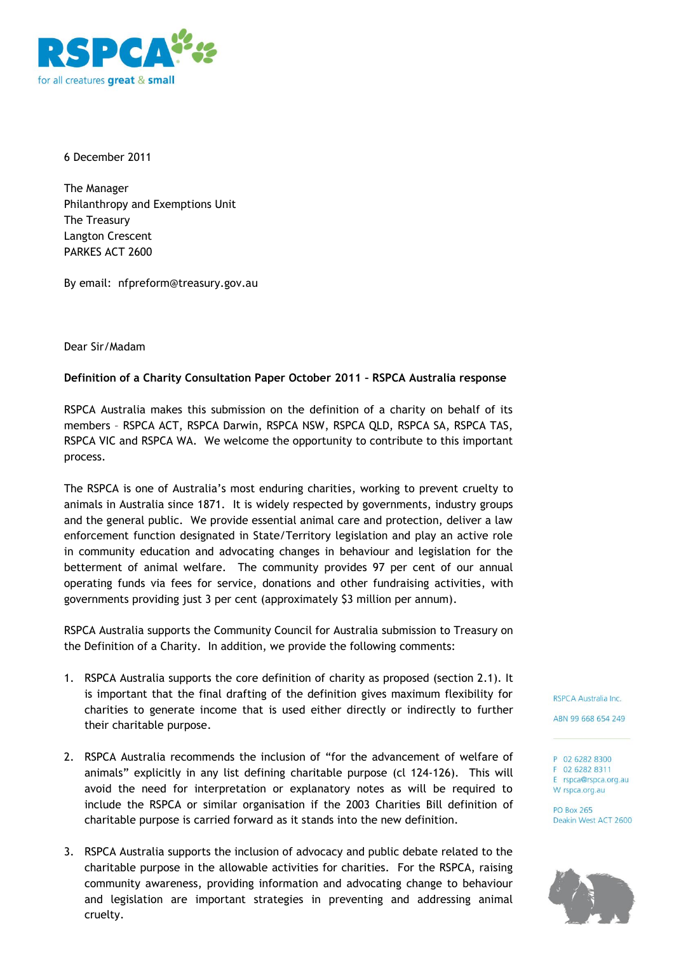

6 December 2011

The Manager Philanthropy and Exemptions Unit The Treasury Langton Crescent PARKES ACT 2600

By email: nfpreform@treasury.gov.au

## Dear Sir/Madam

## **Definition of a Charity Consultation Paper October 2011 – RSPCA Australia response**

RSPCA Australia makes this submission on the definition of a charity on behalf of its members – RSPCA ACT, RSPCA Darwin, RSPCA NSW, RSPCA QLD, RSPCA SA, RSPCA TAS, RSPCA VIC and RSPCA WA. We welcome the opportunity to contribute to this important process.

The RSPCA is one of Australia's most enduring charities, working to prevent cruelty to animals in Australia since 1871. It is widely respected by governments, industry groups and the general public. We provide essential animal care and protection, deliver a law enforcement function designated in State/Territory legislation and play an active role in community education and advocating changes in behaviour and legislation for the betterment of animal welfare. The community provides 97 per cent of our annual operating funds via fees for service, donations and other fundraising activities, with governments providing just 3 per cent (approximately \$3 million per annum).

RSPCA Australia supports the Community Council for Australia submission to Treasury on the Definition of a Charity. In addition, we provide the following comments:

- 1. RSPCA Australia supports the core definition of charity as proposed (section 2.1). It is important that the final drafting of the definition gives maximum flexibility for charities to generate income that is used either directly or indirectly to further their charitable purpose.
- 2. RSPCA Australia recommends the inclusion of "for the advancement of welfare of animals" explicitly in any list defining charitable purpose (cl 124-126). This will avoid the need for interpretation or explanatory notes as will be required to include the RSPCA or similar organisation if the 2003 Charities Bill definition of charitable purpose is carried forward as it stands into the new definition.
- 3. RSPCA Australia supports the inclusion of advocacy and public debate related to the charitable purpose in the allowable activities for charities. For the RSPCA, raising community awareness, providing information and advocating change to behaviour and legislation are important strategies in preventing and addressing animal cruelty.

RSPCA Australia Inc.

ABN 99 668 654 249

P 02 6282 8300 F 02 6282 8311 E rspca@rspca.org.au W rspca.org.au

**PO Box 265** Deakin West ACT 2600